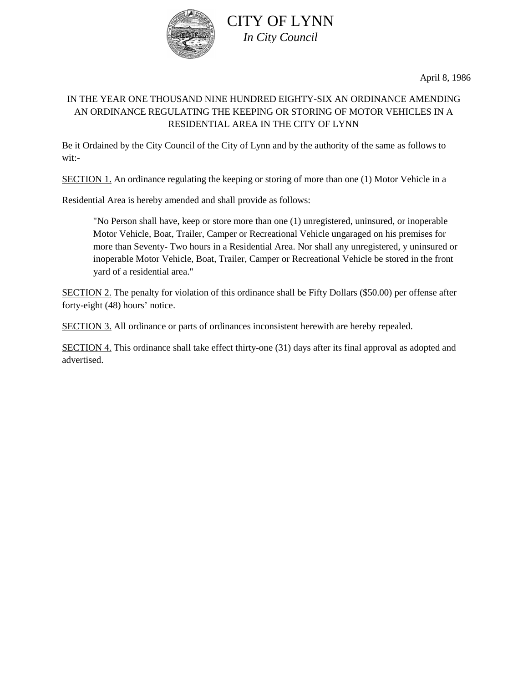

April 8, 1986

## IN THE YEAR ONE THOUSAND NINE HUNDRED EIGHTY-SIX AN ORDINANCE AMENDING AN ORDINANCE REGULATING THE KEEPING OR STORING OF MOTOR VEHICLES IN A RESIDENTIAL AREA IN THE CITY OF LYNN

Be it Ordained by the City Council of the City of Lynn and by the authority of the same as follows to wit:-

SECTION 1. An ordinance regulating the keeping or storing of more than one (1) Motor Vehicle in a

Residential Area is hereby amended and shall provide as follows:

"No Person shall have, keep or store more than one (1) unregistered, uninsured, or inoperable Motor Vehicle, Boat, Trailer, Camper or Recreational Vehicle ungaraged on his premises for more than Seventy- Two hours in a Residential Area. Nor shall any unregistered, y uninsured or inoperable Motor Vehicle, Boat, Trailer, Camper or Recreational Vehicle be stored in the front yard of a residential area."

SECTION 2. The penalty for violation of this ordinance shall be Fifty Dollars (\$50.00) per offense after forty-eight (48) hours' notice.

SECTION 3. All ordinance or parts of ordinances inconsistent herewith are hereby repealed.

SECTION 4. This ordinance shall take effect thirty-one (31) days after its final approval as adopted and advertised.